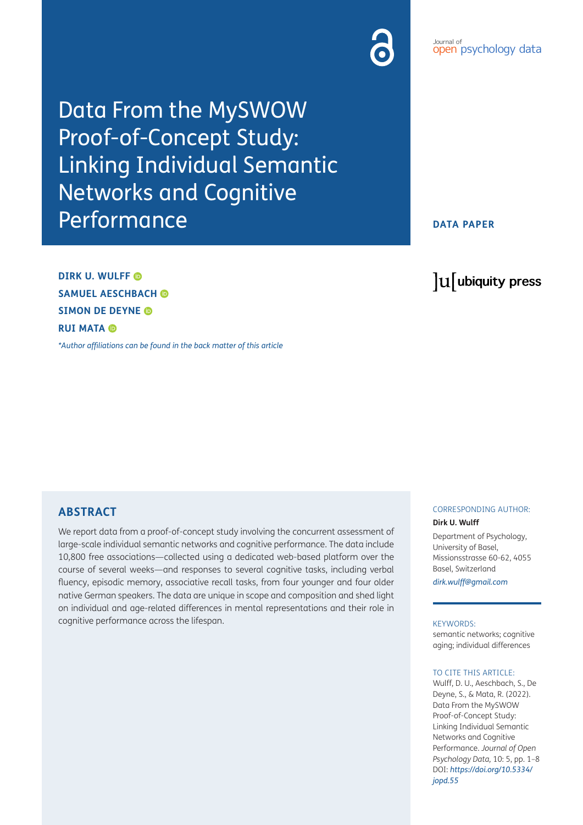### *Popen* psychology data Journal of

Data From the MySWOW Proof-of-Concept Study: Linking Individual Semantic Networks and Cognitive Performance

**DATA PAPER**

lu ubiquity press

**DIRK U. WULFF SAMUEL AESCHBACH SIMON DE DEYNE RUI MATA** 

*[\\*Author affiliations can be found in the back matter of this article](#page-5-0)*

# **ABSTRACT**

We report data from a proof-of-concept study involving the concurrent assessment of large-scale individual semantic networks and cognitive performance. The data include 10,800 free associations—collected using a dedicated web-based platform over the course of several weeks—and responses to several cognitive tasks, including verbal fluency, episodic memory, associative recall tasks, from four younger and four older native German speakers. The data are unique in scope and composition and shed light on individual and age-related differences in mental representations and their role in cognitive performance across the lifespan.

## CORRESPONDING AUTHOR:

### **Dirk U. Wulff**

Department of Psychology, University of Basel, Missionsstrasse 60-62, 4055 Basel, Switzerland

*[dirk.wulff@gmail.com](mailto:dirk.wulff@gmail.com)*

### KEYWORDS:

semantic networks; cognitive aging; individual differences

### TO CITE THIS ARTICLE:

Wulff, D. U., Aeschbach, S., De Deyne, S., & Mata, R. (2022). Data From the MySWOW Proof-of-Concept Study: Linking Individual Semantic Networks and Cognitive Performance. *Journal of Open Psychology Data,* 10: 5, pp. 1–8 DOI: *[https://doi.org/10.5334/](https://doi.org/10.5334/jopd.55) [jopd.55](https://doi.org/10.5334/jopd.55)*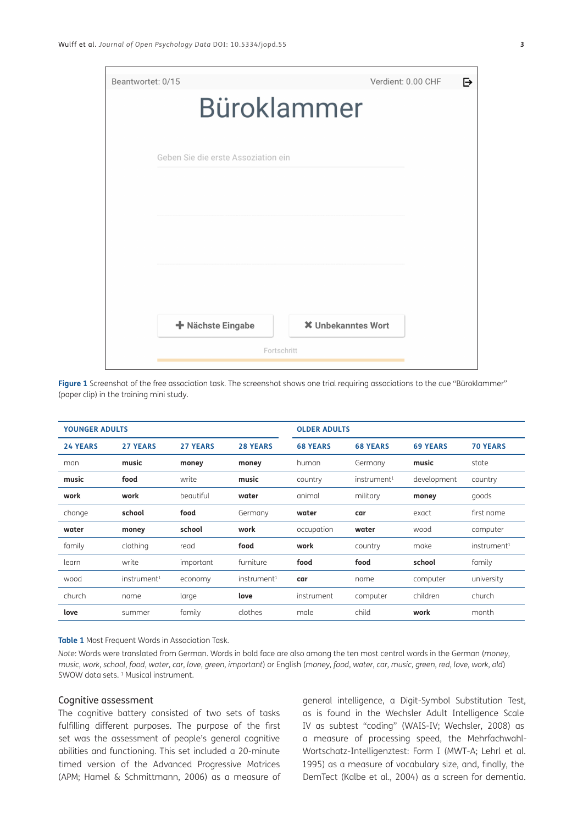

| Figure 1 Screenshot of the free association task. The screenshot shows one trial requiring associations to the cue "Büroklammer" |  |  |
|----------------------------------------------------------------------------------------------------------------------------------|--|--|
| (paper clip) in the training mini study.                                                                                         |  |  |

| <b>YOUNGER ADULTS</b> |                         |                 | <b>OLDER ADULTS</b>     |                 |                         |                 |                         |
|-----------------------|-------------------------|-----------------|-------------------------|-----------------|-------------------------|-----------------|-------------------------|
| <b>24 YEARS</b>       | <b>27 YEARS</b>         | <b>27 YEARS</b> | <b>28 YEARS</b>         | <b>68 YEARS</b> | <b>68 YEARS</b>         | <b>69 YEARS</b> | <b>70 YEARS</b>         |
| man                   | music                   | money           | money                   | human           | Germany                 | music           | state                   |
| music                 | food                    | write           | music                   | country         | instrument <sup>1</sup> | development     | country                 |
| work                  | work                    | beautiful       | water                   | animal          | military                | money           | goods                   |
| change                | school                  | food            | Germany                 | water           | car                     | exact           | first name              |
| water                 | money                   | school          | work                    | occupation      | water                   | wood            | computer                |
| family                | clothing                | read            | food                    | work            | country                 | make            | instrument <sup>1</sup> |
| learn                 | write                   | important       | furniture               | food            | food                    | school          | family                  |
| wood                  | instrument <sup>1</sup> | economy         | instrument <sup>1</sup> | car             | name                    | computer        | university              |
| church                | name                    | large           | love                    | instrument      | computer                | children        | church                  |
| love                  | summer                  | family          | clothes                 | male            | child                   | work            | month                   |

#### **Table 1** Most Frequent Words in Association Task.

*Note*: Words were translated from German. Words in bold face are also among the ten most central words in the German (*money*, music, work, school, food, water, car, love, green, important) or English (money, food, water, car, music, green, red, love, work, old) SWOW data sets.<sup>1</sup> Musical instrument.

## Cognitive assessment

The cognitive battery consisted of two sets of tasks fulfilling different purposes. The purpose of the first set was the assessment of people's general cognitive abilities and functioning. This set included a 20-minute timed version of the Advanced Progressive Matrices (APM; [Hamel & Schmittmann, 2006](#page-6-0)) as a measure of

general intelligence, a Digit-Symbol Substitution Test, as is found in the Wechsler Adult Intelligence Scale IV as subtest "coding" (WAIS-IV; [Wechsler, 2008\)](#page-6-0) as a measure of processing speed, the Mehrfachwahl-Wortschatz-Intelligenztest: Form I (MWT-A; [Lehrl et al.](#page-6-0) [1995](#page-6-0)) as a measure of vocabulary size, and, finally, the DemTect [\(Kalbe et al., 2004](#page-6-0)) as a screen for dementia.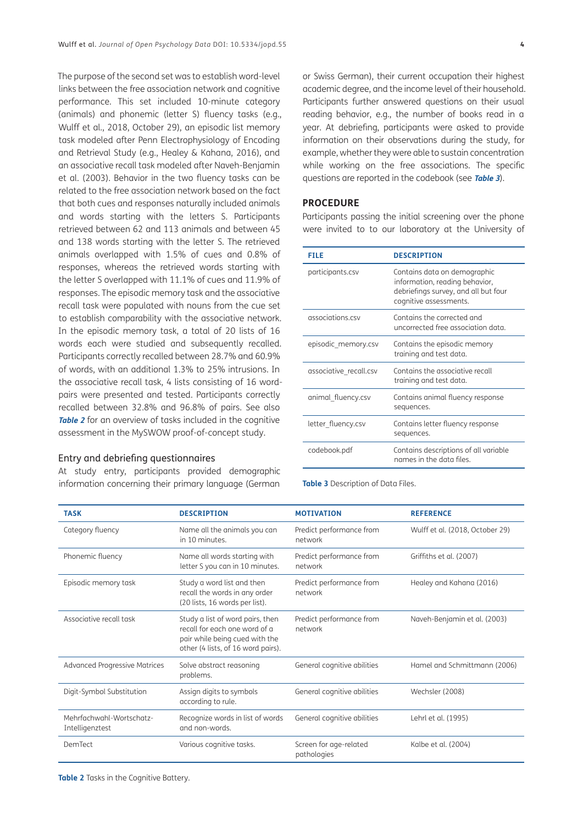The purpose of the second set was to establish word-level links between the free association network and cognitive performance. This set included 10-minute category (animals) and phonemic (letter S) fluency tasks (e.g., [Wulff et al., 2018](#page-6-0), October 29), an episodic list memory task modeled after Penn Electrophysiology of Encoding and Retrieval Study (e.g., [Healey & Kahana, 2016\)](#page-6-0), and an associative recall task modeled after [Naveh-Benjamin](#page-6-0)  [et al. \(2003\).](#page-6-0) Behavior in the two fluency tasks can be related to the free association network based on the fact that both cues and responses naturally included animals and words starting with the letters S. Participants retrieved between 62 and 113 animals and between 45 and 138 words starting with the letter S. The retrieved animals overlapped with 1.5% of cues and 0.8% of responses, whereas the retrieved words starting with the letter S overlapped with 11.1% of cues and 11.9% of responses. The episodic memory task and the associative recall task were populated with nouns from the cue set to establish comparability with the associative network. In the episodic memory task, a total of 20 lists of 16 words each were studied and subsequently recalled. Participants correctly recalled between 28.7% and 60.9% of words, with an additional 1.3% to 25% intrusions. In the associative recall task, 4 lists consisting of 16 wordpairs were presented and tested. Participants correctly recalled between 32.8% and 96.8% of pairs. See also **[Table 2](#page-3-0)** for an overview of tasks included in the cognitive assessment in the MySWOW proof-of-concept study.

## Entry and debriefing questionnaires

At study entry, participants provided demographic information concerning their primary language (German

or Swiss German), their current occupation their highest academic degree, and the income level of their household. Participants further answered questions on their usual reading behavior, e.g., the number of books read in a year. At debriefing, participants were asked to provide information on their observations during the study, for example, whether they were able to sustain concentration

#### **PROCEDURE**

Participants passing the initial screening over the phone were invited to to our laboratory at the University of

while working on the free associations. The specific questions are reported in the codebook (see **[Table 3](#page-3-1)**).

| FILE                   | <b>DESCRIPTION</b>                                                                                                               |
|------------------------|----------------------------------------------------------------------------------------------------------------------------------|
| participants.csv       | Contains data on demographic<br>information, reading behavior,<br>debriefings survey, and all but four<br>cognitive assessments. |
| associations csv       | Contains the corrected and<br>uncorrected free association data.                                                                 |
| episodic_memory.csv    | Contains the episodic memory<br>training and test data.                                                                          |
| associative recall.csv | Contains the associative recall<br>training and test data.                                                                       |
| animal fluency.csv     | Contains animal fluency response<br>sequences.                                                                                   |
| letter fluency.csv     | Contains letter fluency response<br>sequences.                                                                                   |
| codebook.pdf           | Contains descriptions of all variable<br>names in the data files.                                                                |

<span id="page-3-1"></span>**Table 3** Description of Data Files.

<span id="page-3-0"></span>

| <b>TASK</b>                                 | <b>DESCRIPTION</b>                                                                                                                        | <b>MOTIVATION</b>                     | <b>REFERENCE</b>                |
|---------------------------------------------|-------------------------------------------------------------------------------------------------------------------------------------------|---------------------------------------|---------------------------------|
| Category fluency                            | Name all the animals you can<br>in 10 minutes.                                                                                            | Predict performance from<br>network   | Wulff et al. (2018, October 29) |
| Phonemic fluency                            | Name all words starting with<br>letter S you can in 10 minutes.                                                                           | Predict performance from<br>network   | Griffiths et al. (2007)         |
| Episodic memory task                        | Study a word list and then<br>recall the words in any order<br>(20 lists, 16 words per list).                                             | Predict performance from<br>network   | Healey and Kahana (2016)        |
| Associative recall task                     | Study a list of word pairs, then<br>recall for each one word of a<br>pair while being cued with the<br>other (4 lists, of 16 word pairs). | Predict performance from<br>network   | Naveh-Benjamin et al. (2003)    |
| <b>Advanced Progressive Matrices</b>        | Solve abstract reasoning<br>problems.                                                                                                     | General cognitive abilities           | Hamel and Schmittmann (2006)    |
| Digit-Symbol Substitution                   | Assign digits to symbols<br>according to rule.                                                                                            | General cognitive abilities           | Wechsler (2008)                 |
| Mehrfachwahl-Wortschatz-<br>Intelligenztest | Recognize words in list of words<br>and non-words.                                                                                        | General cognitive abilities           | Lehrl et al. (1995)             |
| DemTect                                     | Various cognitive tasks.                                                                                                                  | Screen for age-related<br>pathologies | Kalbe et al. (2004)             |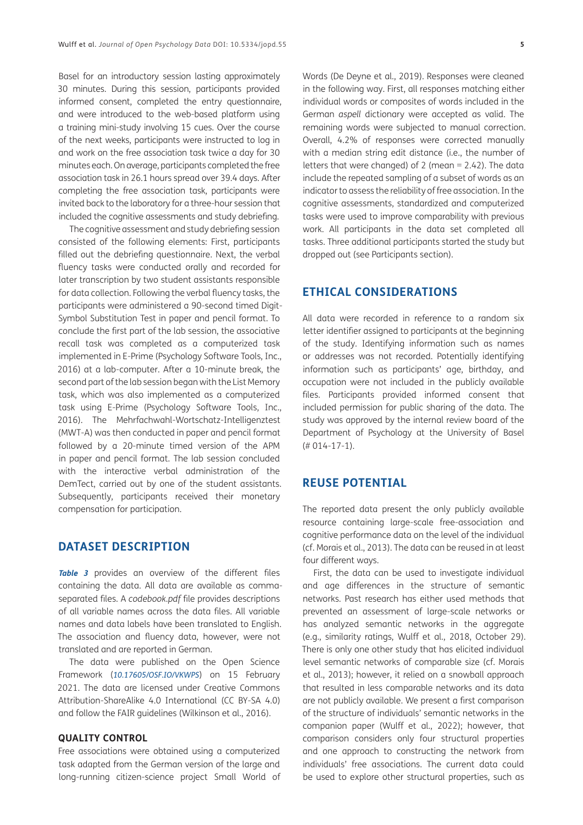Basel for an introductory session lasting approximately 30 minutes. During this session, participants provided informed consent, completed the entry questionnaire, and were introduced to the web-based platform using a training mini-study involving 15 cues. Over the course of the next weeks, participants were instructed to log in and work on the free association task twice a day for 30 minutes each. On average, participants completed the free association task in 26.1 hours spread over 39.4 days. After completing the free association task, participants were invited back to the laboratory for a three-hour session that included the cognitive assessments and study debriefing.

The cognitive assessment and study debriefing session consisted of the following elements: First, participants filled out the debriefing questionnaire. Next, the verbal fluency tasks were conducted orally and recorded for later transcription by two student assistants responsible for data collection. Following the verbal fluency tasks, the participants were administered a 90-second timed Digit-Symbol Substitution Test in paper and pencil format. To conclude the first part of the lab session, the associative recall task was completed as a computerized task implemented in E-Prime ([Psychology Software Tools, Inc.,](#page-6-0)  [2016](#page-6-0)) at a lab-computer. After a 10-minute break, the second part of the lab session began with the List Memory task, which was also implemented as a computerized task using E-Prime ([Psychology Software Tools, Inc.,](#page-6-0)  [2016](#page-6-0)). The Mehrfachwahl-Wortschatz-Intelligenztest (MWT-A) was then conducted in paper and pencil format followed by a 20-minute timed version of the APM in paper and pencil format. The lab session concluded with the interactive verbal administration of the DemTect, carried out by one of the student assistants. Subsequently, participants received their monetary compensation for participation.

# **DATASET DESCRIPTION**

**[Table 3](#page-3-1)** provides an overview of the different files containing the data. All data are available as commaseparated files. A *codebook.pdf* file provides descriptions of all variable names across the data files. All variable names and data labels have been translated to English. The association and fluency data, however, were not translated and are reported in German.

The data were published on the Open Science Framework (*[10.17605/OSF.IO/VKWPS](https://doi.org/10.17605/OSF.IO/VKWPS)*) on 15 February 2021. The data are licensed under Creative Commons Attribution-ShareAlike 4.0 International (CC BY-SA 4.0) and follow the FAIR guidelines ([Wilkinson et al., 2016\)](#page-6-0).

## **QUALITY CONTROL**

Free associations were obtained using a computerized task adapted from the German version of the large and long-running citizen-science project Small World of Words [\(De Deyne et al., 2019](#page-6-0)). Responses were cleaned in the following way. First, all responses matching either individual words or composites of words included in the German *aspell* dictionary were accepted as valid. The remaining words were subjected to manual correction. Overall, 4.2% of responses were corrected manually with a median string edit distance (i.e., the number of letters that were changed) of 2 (mean  $= 2.42$ ). The data include the repeated sampling of a subset of words as an indicator to assess the reliability of free association. In the cognitive assessments, standardized and computerized tasks were used to improve comparability with previous work. All participants in the data set completed all tasks. Three additional participants started the study but dropped out (see Participants section).

## **ETHICAL CONSIDERATIONS**

All data were recorded in reference to a random six letter identifier assigned to participants at the beginning of the study. Identifying information such as names or addresses was not recorded. Potentially identifying information such as participants' age, birthday, and occupation were not included in the publicly available files. Participants provided informed consent that included permission for public sharing of the data. The study was approved by the internal review board of the Department of Psychology at the University of Basel (# 014-17-1).

# **REUSE POTENTIAL**

The reported data present the only publicly available resource containing large-scale free-association and cognitive performance data on the level of the individual (cf. [Morais et al., 2013\)](#page-6-0). The data can be reused in at least four different ways.

First, the data can be used to investigate individual and age differences in the structure of semantic networks. Past research has either used methods that prevented an assessment of large-scale networks or has analyzed semantic networks in the aggregate (e.g., similarity ratings, [Wulff et al., 2018,](#page-6-0) October 29). There is only one other study that has elicited individual level semantic networks of comparable size (cf. [Morais](#page-6-0) [et al., 2013\)](#page-6-0); however, it relied on a snowball approach that resulted in less comparable networks and its data are not publicly available. We present a first comparison of the structure of individuals' semantic networks in the companion paper ([Wulff et al., 2022](#page-6-0)); however, that comparison considers only four structural properties and one approach to constructing the network from individuals' free associations. The current data could be used to explore other structural properties, such as